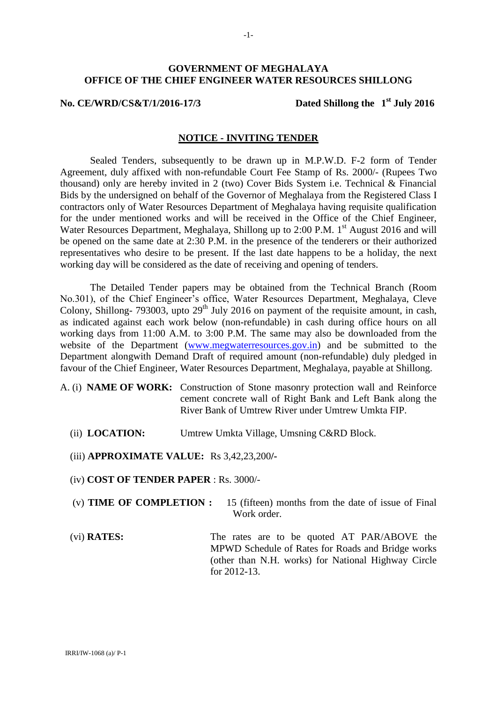### **GOVERNMENT OF MEGHALAYA OFFICE OF THE CHIEF ENGINEER WATER RESOURCES SHILLONG**

#### **No. CE/WRD/CS&T/1/2016-17/3**

#### Dated Shillong the 1<sup>st</sup> July 2016

### **NOTICE - INVITING TENDER**

Sealed Tenders, subsequently to be drawn up in M.P.W.D. F-2 form of Tender Agreement, duly affixed with non-refundable Court Fee Stamp of Rs. 2000/- (Rupees Two thousand) only are hereby invited in 2 (two) Cover Bids System i.e. Technical & Financial Bids by the undersigned on behalf of the Governor of Meghalaya from the Registered Class I contractors only of Water Resources Department of Meghalaya having requisite qualification for the under mentioned works and will be received in the Office of the Chief Engineer, Water Resources Department, Meghalaya, Shillong up to 2:00 P.M. 1<sup>st</sup> August 2016 and will be opened on the same date at 2:30 P.M. in the presence of the tenderers or their authorized representatives who desire to be present. If the last date happens to be a holiday, the next working day will be considered as the date of receiving and opening of tenders.

The Detailed Tender papers may be obtained from the Technical Branch (Room No.301), of the Chief Engineer's office, Water Resources Department, Meghalaya, Cleve Colony, Shillong- 793003, upto  $29<sup>th</sup>$  July 2016 on payment of the requisite amount, in cash, as indicated against each work below (non-refundable) in cash during office hours on all working days from 11:00 A.M. to 3:00 P.M. The same may also be downloaded from the website of the Department [\(www.megwaterresources.gov.in\)](http://www.megwaterresources.gov.in/) and be submitted to the Department alongwith Demand Draft of required amount (non-refundable) duly pledged in favour of the Chief Engineer, Water Resources Department, Meghalaya, payable at Shillong.

- A. (i) **NAME OF WORK:** Construction of Stone masonry protection wall and Reinforce cement concrete wall of Right Bank and Left Bank along the River Bank of Umtrew River under Umtrew Umkta FIP.
	- (ii) **LOCATION:** Umtrew Umkta Village, Umsning C&RD Block.

(iii) **APPROXIMATE VALUE:** Rs 3,42,23,200**/-**

(iv) **COST OF TENDER PAPER** : Rs. 3000/-

- (v) **TIME OF COMPLETION :** 15 (fifteen) months from the date of issue of Final Work order
- (vi) **RATES:** The rates are to be quoted AT PAR/ABOVE the MPWD Schedule of Rates for Roads and Bridge works (other than N.H. works) for National Highway Circle for 2012-13.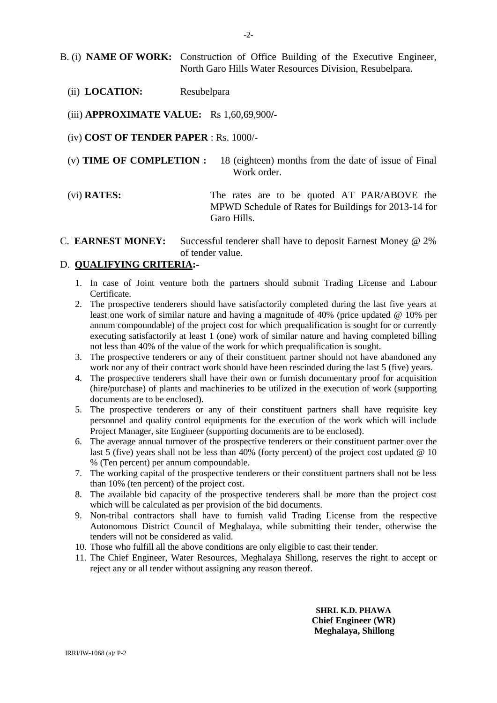- (ii) **LOCATION:** Resubelpara
- (iii) **APPROXIMATE VALUE:** Rs 1,60,69,900**/-**
- (iv) **COST OF TENDER PAPER** : Rs. 1000/-
- (v) **TIME OF COMPLETION :** 18 (eighteen) months from the date of issue of Final Work order.
- (vi) **RATES:** The rates are to be quoted AT PAR/ABOVE the MPWD Schedule of Rates for Buildings for 2013-14 for Garo Hills.
- C. **EARNEST MONEY:** Successful tenderer shall have to deposit Earnest Money @ 2% of tender value.

### D. **QUALIFYING CRITERIA:-**

- 1. In case of Joint venture both the partners should submit Trading License and Labour Certificate.
- 2. The prospective tenderers should have satisfactorily completed during the last five years at least one work of similar nature and having a magnitude of 40% (price updated @ 10% per annum compoundable) of the project cost for which prequalification is sought for or currently executing satisfactorily at least 1 (one) work of similar nature and having completed billing not less than 40% of the value of the work for which prequalification is sought.
- 3. The prospective tenderers or any of their constituent partner should not have abandoned any work nor any of their contract work should have been rescinded during the last 5 (five) years.
- 4. The prospective tenderers shall have their own or furnish documentary proof for acquisition (hire/purchase) of plants and machineries to be utilized in the execution of work (supporting documents are to be enclosed).
- 5. The prospective tenderers or any of their constituent partners shall have requisite key personnel and quality control equipments for the execution of the work which will include Project Manager, site Engineer (supporting documents are to be enclosed).
- 6. The average annual turnover of the prospective tenderers or their constituent partner over the last 5 (five) years shall not be less than 40% (forty percent) of the project cost updated @ 10 % (Ten percent) per annum compoundable.
- 7. The working capital of the prospective tenderers or their constituent partners shall not be less than 10% (ten percent) of the project cost.
- 8. The available bid capacity of the prospective tenderers shall be more than the project cost which will be calculated as per provision of the bid documents.
- 9. Non-tribal contractors shall have to furnish valid Trading License from the respective Autonomous District Council of Meghalaya, while submitting their tender, otherwise the tenders will not be considered as valid.
- 10. Those who fulfill all the above conditions are only eligible to cast their tender.
- 11. The Chief Engineer, Water Resources, Meghalaya Shillong, reserves the right to accept or reject any or all tender without assigning any reason thereof.

**SHRI. K.D. PHAWA Chief Engineer (WR) Meghalaya, Shillong**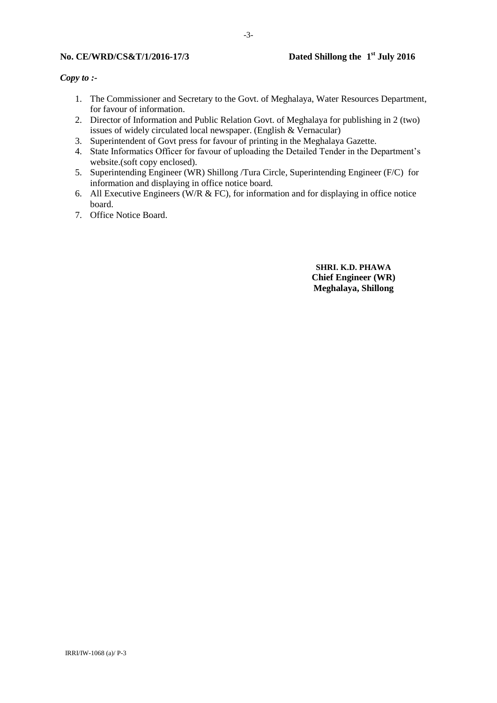#### **No. CE/WRD/CS&T/1/2016-17/3**

#### *Copy to :-*

- 1. The Commissioner and Secretary to the Govt. of Meghalaya, Water Resources Department, for favour of information.
- 2. Director of Information and Public Relation Govt. of Meghalaya for publishing in 2 (two) issues of widely circulated local newspaper. (English & Vernacular)
- 3. Superintendent of Govt press for favour of printing in the Meghalaya Gazette.
- 4. State Informatics Officer for favour of uploading the Detailed Tender in the Department's website.(soft copy enclosed).
- 5. Superintending Engineer (WR) Shillong /Tura Circle, Superintending Engineer (F/C) for information and displaying in office notice board.
- 6. All Executive Engineers (W/R & FC), for information and for displaying in office notice board.
- 7. Office Notice Board.

**SHRI. K.D. PHAWA Chief Engineer (WR) Meghalaya, Shillong**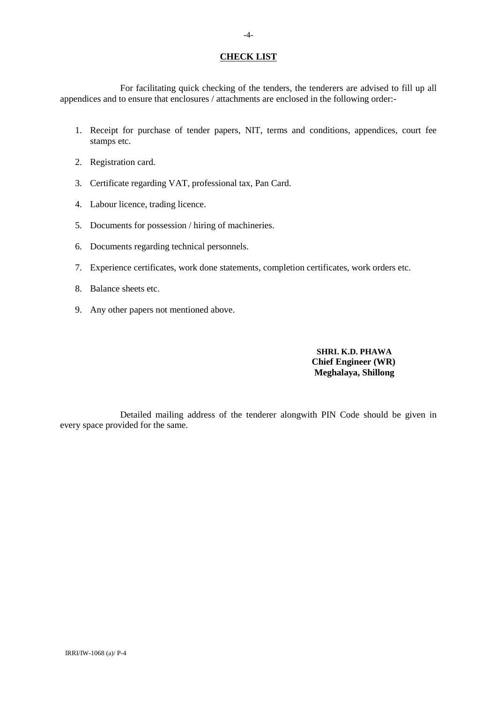#### **CHECK LIST**

For facilitating quick checking of the tenders, the tenderers are advised to fill up all appendices and to ensure that enclosures / attachments are enclosed in the following order:-

- 1. Receipt for purchase of tender papers, NIT, terms and conditions, appendices, court fee stamps etc.
- 2. Registration card.
- 3. Certificate regarding VAT, professional tax, Pan Card.
- 4. Labour licence, trading licence.
- 5. Documents for possession / hiring of machineries.
- 6. Documents regarding technical personnels.
- 7. Experience certificates, work done statements, completion certificates, work orders etc.
- 8. Balance sheets etc.
- 9. Any other papers not mentioned above.

#### **SHRI. K.D. PHAWA Chief Engineer (WR) Meghalaya, Shillong**

Detailed mailing address of the tenderer alongwith PIN Code should be given in every space provided for the same.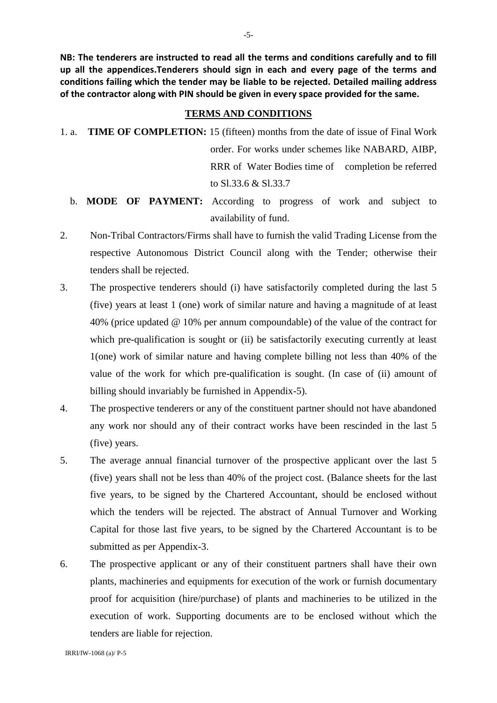**NB: The tenderers are instructed to read all the terms and conditions carefully and to fill up all the appendices.Tenderers should sign in each and every page of the terms and conditions failing which the tender may be liable to be rejected. Detailed mailing address of the contractor along with PIN should be given in every space provided for the same.**

#### **TERMS AND CONDITIONS**

- 1. a. **TIME OF COMPLETION:** 15 (fifteen) months from the date of issue of Final Work order. For works under schemes like NABARD, AIBP, RRR of Water Bodies time of completion be referred to Sl.33.6 & Sl.33.7
	- b. **MODE OF PAYMENT:** According to progress of work and subject to availability of fund.
- 2. Non-Tribal Contractors/Firms shall have to furnish the valid Trading License from the respective Autonomous District Council along with the Tender; otherwise their tenders shall be rejected.
- 3. The prospective tenderers should (i) have satisfactorily completed during the last 5 (five) years at least 1 (one) work of similar nature and having a magnitude of at least 40% (price updated @ 10% per annum compoundable) of the value of the contract for which pre-qualification is sought or (ii) be satisfactorily executing currently at least 1(one) work of similar nature and having complete billing not less than 40% of the value of the work for which pre-qualification is sought. (In case of (ii) amount of billing should invariably be furnished in Appendix-5).
- 4. The prospective tenderers or any of the constituent partner should not have abandoned any work nor should any of their contract works have been rescinded in the last 5 (five) years.
- 5. The average annual financial turnover of the prospective applicant over the last 5 (five) years shall not be less than 40% of the project cost. (Balance sheets for the last five years, to be signed by the Chartered Accountant, should be enclosed without which the tenders will be rejected. The abstract of Annual Turnover and Working Capital for those last five years, to be signed by the Chartered Accountant is to be submitted as per Appendix-3.
- 6. The prospective applicant or any of their constituent partners shall have their own plants, machineries and equipments for execution of the work or furnish documentary proof for acquisition (hire/purchase) of plants and machineries to be utilized in the execution of work. Supporting documents are to be enclosed without which the tenders are liable for rejection.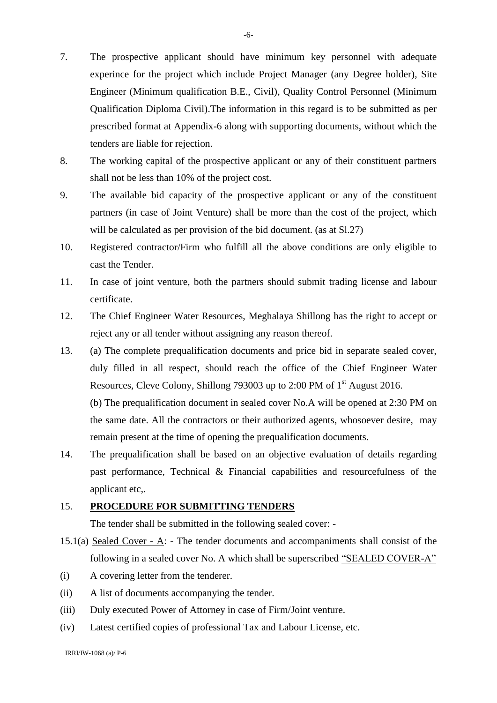- 7. The prospective applicant should have minimum key personnel with adequate experince for the project which include Project Manager (any Degree holder), Site Engineer (Minimum qualification B.E., Civil), Quality Control Personnel (Minimum Qualification Diploma Civil).The information in this regard is to be submitted as per prescribed format at Appendix-6 along with supporting documents, without which the tenders are liable for rejection.
- 8. The working capital of the prospective applicant or any of their constituent partners shall not be less than 10% of the project cost.
- 9. The available bid capacity of the prospective applicant or any of the constituent partners (in case of Joint Venture) shall be more than the cost of the project, which will be calculated as per provision of the bid document. (as at  $S1.27$ )
- 10. Registered contractor/Firm who fulfill all the above conditions are only eligible to cast the Tender.
- 11. In case of joint venture, both the partners should submit trading license and labour certificate.
- 12. The Chief Engineer Water Resources, Meghalaya Shillong has the right to accept or reject any or all tender without assigning any reason thereof.
- 13. (a) The complete prequalification documents and price bid in separate sealed cover, duly filled in all respect, should reach the office of the Chief Engineer Water Resources, Cleve Colony, Shillong 793003 up to 2:00 PM of 1<sup>st</sup> August 2016. (b) The prequalification document in sealed cover No.A will be opened at 2:30 PM on

the same date. All the contractors or their authorized agents, whosoever desire, may remain present at the time of opening the prequalification documents.

14. The prequalification shall be based on an objective evaluation of details regarding past performance, Technical & Financial capabilities and resourcefulness of the applicant etc,.

## 15. **PROCEDURE FOR SUBMITTING TENDERS**

The tender shall be submitted in the following sealed cover: -

- 15.1(a) Sealed Cover A: The tender documents and accompaniments shall consist of the following in a sealed cover No. A which shall be superscribed "SEALED COVER-A"
- (i) A covering letter from the tenderer.
- (ii) A list of documents accompanying the tender.
- (iii) Duly executed Power of Attorney in case of Firm/Joint venture.
- (iv) Latest certified copies of professional Tax and Labour License, etc.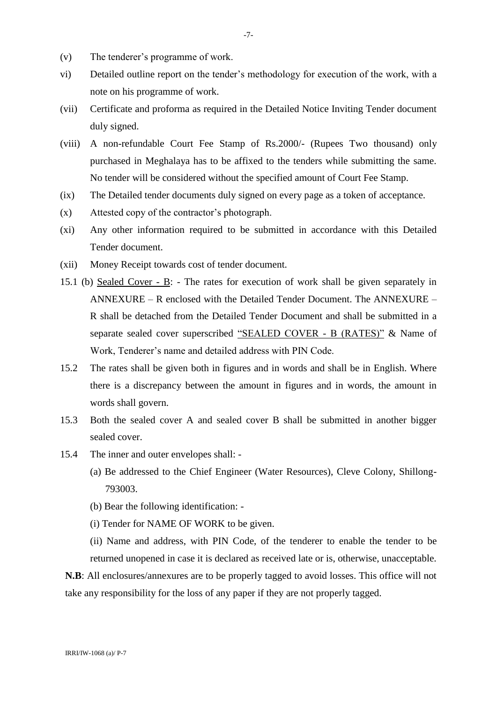- (v) The tenderer's programme of work.
- vi) Detailed outline report on the tender's methodology for execution of the work, with a note on his programme of work.
- (vii) Certificate and proforma as required in the Detailed Notice Inviting Tender document duly signed.
- (viii) A non-refundable Court Fee Stamp of Rs.2000/- (Rupees Two thousand) only purchased in Meghalaya has to be affixed to the tenders while submitting the same. No tender will be considered without the specified amount of Court Fee Stamp.
- (ix) The Detailed tender documents duly signed on every page as a token of acceptance.
- (x) Attested copy of the contractor's photograph.
- (xi) Any other information required to be submitted in accordance with this Detailed Tender document.
- (xii) Money Receipt towards cost of tender document.
- 15.1 (b) Sealed Cover B: The rates for execution of work shall be given separately in ANNEXURE – R enclosed with the Detailed Tender Document. The ANNEXURE – R shall be detached from the Detailed Tender Document and shall be submitted in a separate sealed cover superscribed "SEALED COVER - B (RATES)" & Name of Work, Tenderer's name and detailed address with PIN Code.
- 15.2 The rates shall be given both in figures and in words and shall be in English. Where there is a discrepancy between the amount in figures and in words, the amount in words shall govern.
- 15.3 Both the sealed cover A and sealed cover B shall be submitted in another bigger sealed cover.
- 15.4 The inner and outer envelopes shall:
	- (a) Be addressed to the Chief Engineer (Water Resources), Cleve Colony, Shillong-793003.
	- (b) Bear the following identification: -
	- (i) Tender for NAME OF WORK to be given.
	- (ii) Name and address, with PIN Code, of the tenderer to enable the tender to be returned unopened in case it is declared as received late or is, otherwise, unacceptable.

**N.B**: All enclosures/annexures are to be properly tagged to avoid losses. This office will not take any responsibility for the loss of any paper if they are not properly tagged.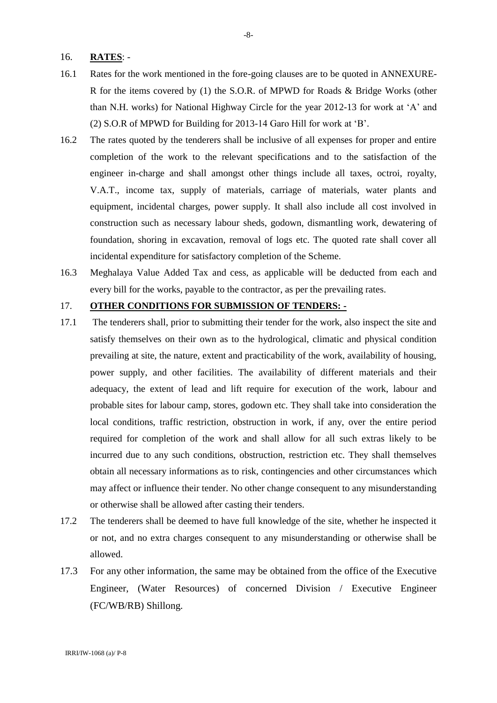### 16. **RATES**: -

- 16.1 Rates for the work mentioned in the fore-going clauses are to be quoted in ANNEXURE-R for the items covered by (1) the S.O.R. of MPWD for Roads & Bridge Works (other than N.H. works) for National Highway Circle for the year 2012-13 for work at 'A' and (2) S.O.R of MPWD for Building for 2013-14 Garo Hill for work at 'B'.
- 16.2 The rates quoted by the tenderers shall be inclusive of all expenses for proper and entire completion of the work to the relevant specifications and to the satisfaction of the engineer in-charge and shall amongst other things include all taxes, octroi, royalty, V.A.T., income tax, supply of materials, carriage of materials, water plants and equipment, incidental charges, power supply. It shall also include all cost involved in construction such as necessary labour sheds, godown, dismantling work, dewatering of foundation, shoring in excavation, removal of logs etc. The quoted rate shall cover all incidental expenditure for satisfactory completion of the Scheme.
- 16.3 Meghalaya Value Added Tax and cess, as applicable will be deducted from each and every bill for the works, payable to the contractor, as per the prevailing rates.

### 17. **OTHER CONDITIONS FOR SUBMISSION OF TENDERS: -**

- 17.1 The tenderers shall, prior to submitting their tender for the work, also inspect the site and satisfy themselves on their own as to the hydrological, climatic and physical condition prevailing at site, the nature, extent and practicability of the work, availability of housing, power supply, and other facilities. The availability of different materials and their adequacy, the extent of lead and lift require for execution of the work, labour and probable sites for labour camp, stores, godown etc. They shall take into consideration the local conditions, traffic restriction, obstruction in work, if any, over the entire period required for completion of the work and shall allow for all such extras likely to be incurred due to any such conditions, obstruction, restriction etc. They shall themselves obtain all necessary informations as to risk, contingencies and other circumstances which may affect or influence their tender. No other change consequent to any misunderstanding or otherwise shall be allowed after casting their tenders.
- 17.2 The tenderers shall be deemed to have full knowledge of the site, whether he inspected it or not, and no extra charges consequent to any misunderstanding or otherwise shall be allowed.
- 17.3 For any other information, the same may be obtained from the office of the Executive Engineer, (Water Resources) of concerned Division / Executive Engineer (FC/WB/RB) Shillong.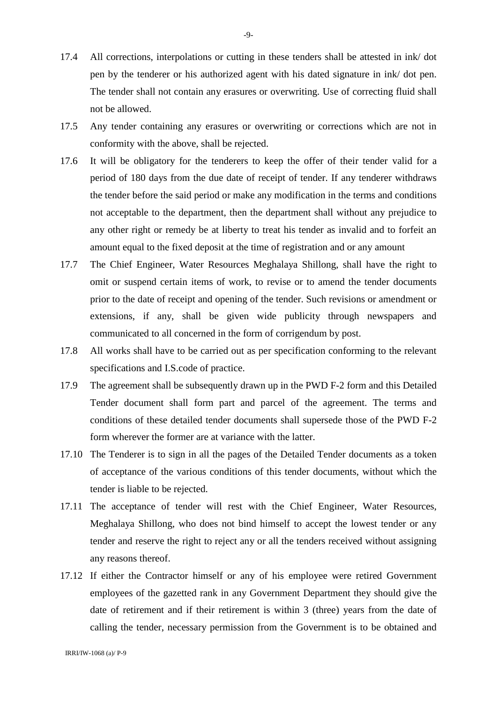- 17.4 All corrections, interpolations or cutting in these tenders shall be attested in ink/ dot pen by the tenderer or his authorized agent with his dated signature in ink/ dot pen. The tender shall not contain any erasures or overwriting. Use of correcting fluid shall not be allowed.
- 17.5 Any tender containing any erasures or overwriting or corrections which are not in conformity with the above, shall be rejected.
- 17.6 It will be obligatory for the tenderers to keep the offer of their tender valid for a period of 180 days from the due date of receipt of tender. If any tenderer withdraws the tender before the said period or make any modification in the terms and conditions not acceptable to the department, then the department shall without any prejudice to any other right or remedy be at liberty to treat his tender as invalid and to forfeit an amount equal to the fixed deposit at the time of registration and or any amount
- 17.7 The Chief Engineer, Water Resources Meghalaya Shillong, shall have the right to omit or suspend certain items of work, to revise or to amend the tender documents prior to the date of receipt and opening of the tender. Such revisions or amendment or extensions, if any, shall be given wide publicity through newspapers and communicated to all concerned in the form of corrigendum by post.
- 17.8 All works shall have to be carried out as per specification conforming to the relevant specifications and I.S.code of practice.
- 17.9 The agreement shall be subsequently drawn up in the PWD F-2 form and this Detailed Tender document shall form part and parcel of the agreement. The terms and conditions of these detailed tender documents shall supersede those of the PWD F-2 form wherever the former are at variance with the latter.
- 17.10 The Tenderer is to sign in all the pages of the Detailed Tender documents as a token of acceptance of the various conditions of this tender documents, without which the tender is liable to be rejected.
- 17.11 The acceptance of tender will rest with the Chief Engineer, Water Resources, Meghalaya Shillong, who does not bind himself to accept the lowest tender or any tender and reserve the right to reject any or all the tenders received without assigning any reasons thereof.
- 17.12 If either the Contractor himself or any of his employee were retired Government employees of the gazetted rank in any Government Department they should give the date of retirement and if their retirement is within 3 (three) years from the date of calling the tender, necessary permission from the Government is to be obtained and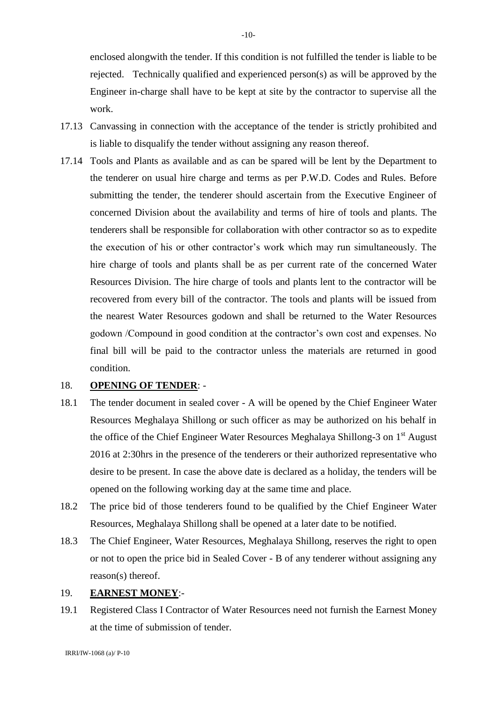enclosed alongwith the tender. If this condition is not fulfilled the tender is liable to be rejected. Technically qualified and experienced person(s) as will be approved by the Engineer in-charge shall have to be kept at site by the contractor to supervise all the work.

- 17.13 Canvassing in connection with the acceptance of the tender is strictly prohibited and is liable to disqualify the tender without assigning any reason thereof.
- 17.14 Tools and Plants as available and as can be spared will be lent by the Department to the tenderer on usual hire charge and terms as per P.W.D. Codes and Rules. Before submitting the tender, the tenderer should ascertain from the Executive Engineer of concerned Division about the availability and terms of hire of tools and plants. The tenderers shall be responsible for collaboration with other contractor so as to expedite the execution of his or other contractor's work which may run simultaneously. The hire charge of tools and plants shall be as per current rate of the concerned Water Resources Division. The hire charge of tools and plants lent to the contractor will be recovered from every bill of the contractor. The tools and plants will be issued from the nearest Water Resources godown and shall be returned to the Water Resources godown /Compound in good condition at the contractor's own cost and expenses. No final bill will be paid to the contractor unless the materials are returned in good condition.

#### 18. **OPENING OF TENDER**: -

- 18.1 The tender document in sealed cover A will be opened by the Chief Engineer Water Resources Meghalaya Shillong or such officer as may be authorized on his behalf in the office of the Chief Engineer Water Resources Meghalaya Shillong-3 on 1<sup>st</sup> August 2016 at 2:30hrs in the presence of the tenderers or their authorized representative who desire to be present. In case the above date is declared as a holiday, the tenders will be opened on the following working day at the same time and place.
- 18.2 The price bid of those tenderers found to be qualified by the Chief Engineer Water Resources, Meghalaya Shillong shall be opened at a later date to be notified.
- 18.3 The Chief Engineer, Water Resources, Meghalaya Shillong, reserves the right to open or not to open the price bid in Sealed Cover - B of any tenderer without assigning any reason(s) thereof.

### 19. **EARNEST MONEY**:-

19.1 Registered Class I Contractor of Water Resources need not furnish the Earnest Money at the time of submission of tender.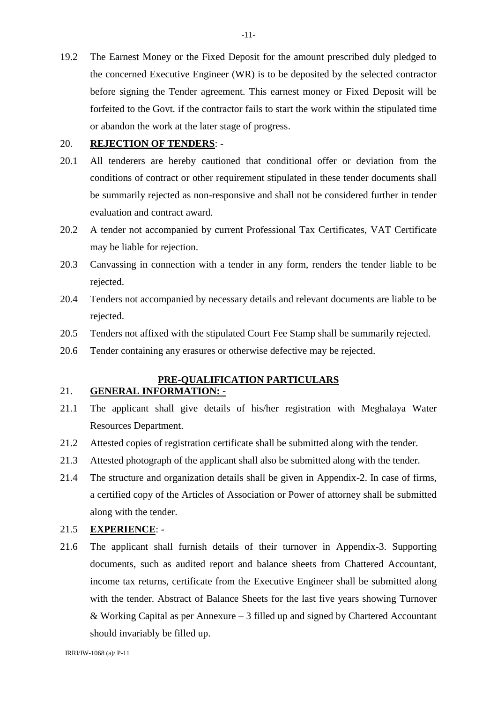19.2 The Earnest Money or the Fixed Deposit for the amount prescribed duly pledged to the concerned Executive Engineer (WR) is to be deposited by the selected contractor before signing the Tender agreement. This earnest money or Fixed Deposit will be forfeited to the Govt. if the contractor fails to start the work within the stipulated time or abandon the work at the later stage of progress.

### 20. **REJECTION OF TENDERS**: -

- 20.1 All tenderers are hereby cautioned that conditional offer or deviation from the conditions of contract or other requirement stipulated in these tender documents shall be summarily rejected as non-responsive and shall not be considered further in tender evaluation and contract award.
- 20.2 A tender not accompanied by current Professional Tax Certificates, VAT Certificate may be liable for rejection.
- 20.3 Canvassing in connection with a tender in any form, renders the tender liable to be rejected.
- 20.4 Tenders not accompanied by necessary details and relevant documents are liable to be rejected.
- 20.5 Tenders not affixed with the stipulated Court Fee Stamp shall be summarily rejected.
- 20.6 Tender containing any erasures or otherwise defective may be rejected.

#### **PRE-QUALIFICATION PARTICULARS** 21. **GENERAL INFORMATION: -**

- 21.1 The applicant shall give details of his/her registration with Meghalaya Water Resources Department.
- 21.2 Attested copies of registration certificate shall be submitted along with the tender.
- 21.3 Attested photograph of the applicant shall also be submitted along with the tender.
- 21.4 The structure and organization details shall be given in Appendix-2. In case of firms, a certified copy of the Articles of Association or Power of attorney shall be submitted along with the tender.

### 21.5 **EXPERIENCE**: -

21.6 The applicant shall furnish details of their turnover in Appendix-3. Supporting documents, such as audited report and balance sheets from Chattered Accountant, income tax returns, certificate from the Executive Engineer shall be submitted along with the tender. Abstract of Balance Sheets for the last five years showing Turnover & Working Capital as per Annexure – 3 filled up and signed by Chartered Accountant should invariably be filled up.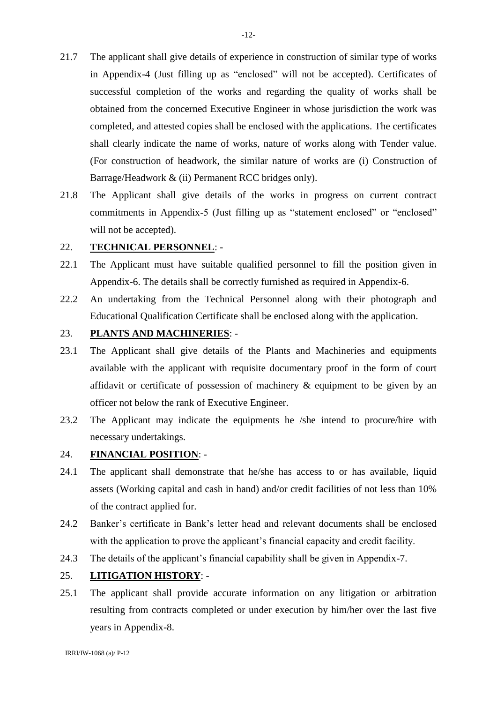- 21.7 The applicant shall give details of experience in construction of similar type of works in Appendix-4 (Just filling up as "enclosed" will not be accepted). Certificates of successful completion of the works and regarding the quality of works shall be obtained from the concerned Executive Engineer in whose jurisdiction the work was completed, and attested copies shall be enclosed with the applications. The certificates shall clearly indicate the name of works, nature of works along with Tender value. (For construction of headwork, the similar nature of works are (i) Construction of Barrage/Headwork & (ii) Permanent RCC bridges only).
- 21.8 The Applicant shall give details of the works in progress on current contract commitments in Appendix-5 (Just filling up as "statement enclosed" or "enclosed" will not be accepted).

### 22. **TECHNICAL PERSONNEL**: -

- 22.1 The Applicant must have suitable qualified personnel to fill the position given in Appendix-6. The details shall be correctly furnished as required in Appendix-6.
- 22.2 An undertaking from the Technical Personnel along with their photograph and Educational Qualification Certificate shall be enclosed along with the application.

### 23. **PLANTS AND MACHINERIES**: -

- 23.1 The Applicant shall give details of the Plants and Machineries and equipments available with the applicant with requisite documentary proof in the form of court affidavit or certificate of possession of machinery & equipment to be given by an officer not below the rank of Executive Engineer.
- 23.2 The Applicant may indicate the equipments he /she intend to procure/hire with necessary undertakings.

## 24. **FINANCIAL POSITION**: -

- 24.1 The applicant shall demonstrate that he/she has access to or has available, liquid assets (Working capital and cash in hand) and/or credit facilities of not less than 10% of the contract applied for.
- 24.2 Banker's certificate in Bank's letter head and relevant documents shall be enclosed with the application to prove the applicant's financial capacity and credit facility.
- 24.3 The details of the applicant's financial capability shall be given in Appendix-7.

### 25. **LITIGATION HISTORY**: -

25.1 The applicant shall provide accurate information on any litigation or arbitration resulting from contracts completed or under execution by him/her over the last five years in Appendix-8.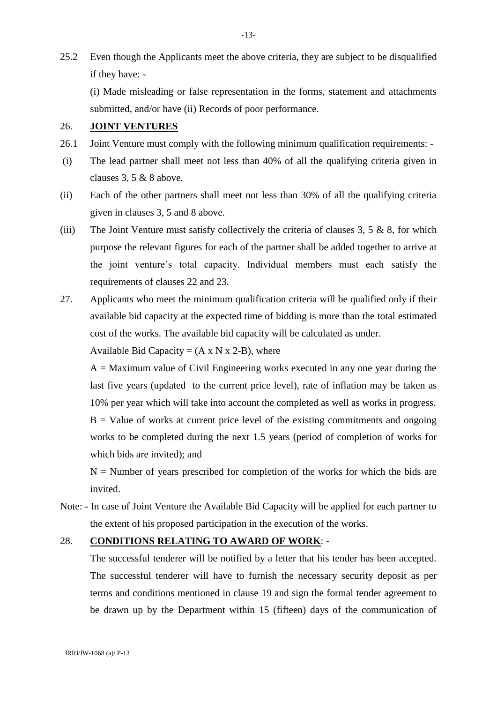25.2 Even though the Applicants meet the above criteria, they are subject to be disqualified if they have: -

(i) Made misleading or false representation in the forms, statement and attachments submitted, and/or have (ii) Records of poor performance.

### 26. **JOINT VENTURES**

- 26.1 Joint Venture must comply with the following minimum qualification requirements: -
- (i) The lead partner shall meet not less than 40% of all the qualifying criteria given in clauses 3, 5 & 8 above.
- (ii) Each of the other partners shall meet not less than 30% of all the qualifying criteria given in clauses 3, 5 and 8 above.
- (iii) The Joint Venture must satisfy collectively the criteria of clauses  $3, 5 \& 8$ , for which purpose the relevant figures for each of the partner shall be added together to arrive at the joint venture's total capacity. Individual members must each satisfy the requirements of clauses 22 and 23.
- 27. Applicants who meet the minimum qualification criteria will be qualified only if their available bid capacity at the expected time of bidding is more than the total estimated cost of the works. The available bid capacity will be calculated as under.

Available Bid Capacity =  $(A \times N \times 2-B)$ , where

 $A =$  Maximum value of Civil Engineering works executed in any one year during the last five years (updated to the current price level), rate of inflation may be taken as 10% per year which will take into account the completed as well as works in progress.  $B =$  Value of works at current price level of the existing commitments and ongoing works to be completed during the next 1.5 years (period of completion of works for which bids are invited); and

 $N =$  Number of years prescribed for completion of the works for which the bids are invited.

Note: - In case of Joint Venture the Available Bid Capacity will be applied for each partner to the extent of his proposed participation in the execution of the works.

## 28. **CONDITIONS RELATING TO AWARD OF WORK**: -

The successful tenderer will be notified by a letter that his tender has been accepted. The successful tenderer will have to furnish the necessary security deposit as per terms and conditions mentioned in clause 19 and sign the formal tender agreement to be drawn up by the Department within 15 (fifteen) days of the communication of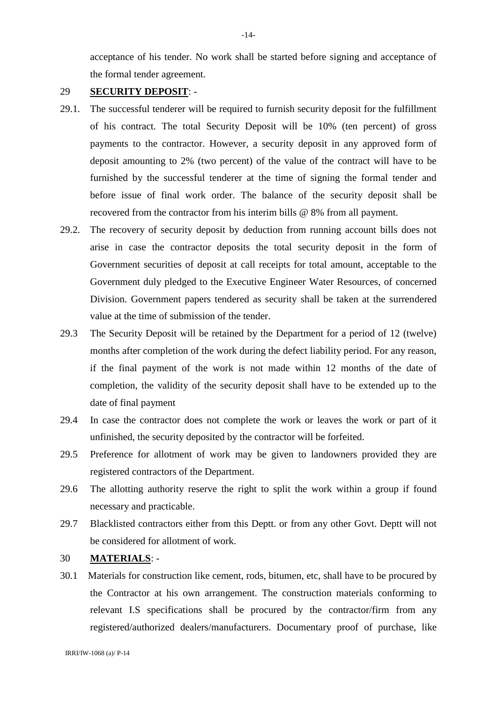acceptance of his tender. No work shall be started before signing and acceptance of the formal tender agreement.

### 29 **SECURITY DEPOSIT**: -

- 29.1. The successful tenderer will be required to furnish security deposit for the fulfillment of his contract. The total Security Deposit will be 10% (ten percent) of gross payments to the contractor. However, a security deposit in any approved form of deposit amounting to 2% (two percent) of the value of the contract will have to be furnished by the successful tenderer at the time of signing the formal tender and before issue of final work order. The balance of the security deposit shall be recovered from the contractor from his interim bills @ 8% from all payment.
- 29.2. The recovery of security deposit by deduction from running account bills does not arise in case the contractor deposits the total security deposit in the form of Government securities of deposit at call receipts for total amount, acceptable to the Government duly pledged to the Executive Engineer Water Resources, of concerned Division. Government papers tendered as security shall be taken at the surrendered value at the time of submission of the tender.
- 29.3 The Security Deposit will be retained by the Department for a period of 12 (twelve) months after completion of the work during the defect liability period. For any reason, if the final payment of the work is not made within 12 months of the date of completion, the validity of the security deposit shall have to be extended up to the date of final payment
- 29.4 In case the contractor does not complete the work or leaves the work or part of it unfinished, the security deposited by the contractor will be forfeited.
- 29.5 Preference for allotment of work may be given to landowners provided they are registered contractors of the Department.
- 29.6 The allotting authority reserve the right to split the work within a group if found necessary and practicable.
- 29.7 Blacklisted contractors either from this Deptt. or from any other Govt. Deptt will not be considered for allotment of work.

## 30 **MATERIALS**: -

30.1 Materials for construction like cement, rods, bitumen, etc, shall have to be procured by the Contractor at his own arrangement. The construction materials conforming to relevant I.S specifications shall be procured by the contractor/firm from any registered/authorized dealers/manufacturers. Documentary proof of purchase, like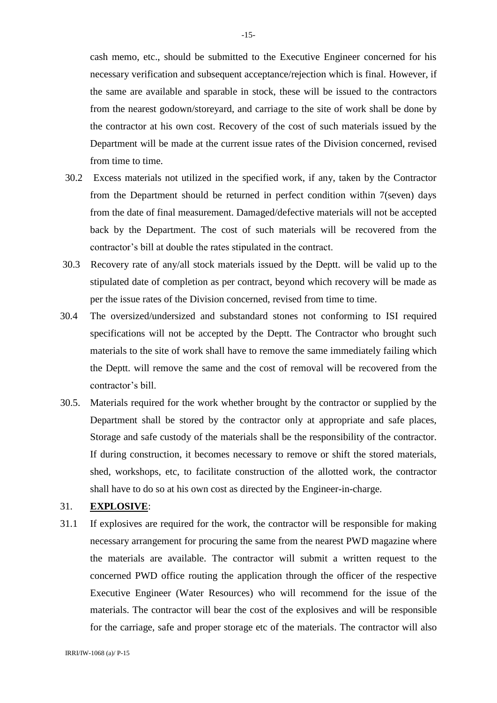cash memo, etc., should be submitted to the Executive Engineer concerned for his necessary verification and subsequent acceptance/rejection which is final. However, if the same are available and sparable in stock, these will be issued to the contractors from the nearest godown/storeyard, and carriage to the site of work shall be done by the contractor at his own cost. Recovery of the cost of such materials issued by the Department will be made at the current issue rates of the Division concerned, revised from time to time.

- 30.2 Excess materials not utilized in the specified work, if any, taken by the Contractor from the Department should be returned in perfect condition within 7(seven) days from the date of final measurement. Damaged/defective materials will not be accepted back by the Department. The cost of such materials will be recovered from the contractor's bill at double the rates stipulated in the contract.
- 30.3 Recovery rate of any/all stock materials issued by the Deptt. will be valid up to the stipulated date of completion as per contract, beyond which recovery will be made as per the issue rates of the Division concerned, revised from time to time.
- 30.4 The oversized/undersized and substandard stones not conforming to ISI required specifications will not be accepted by the Deptt. The Contractor who brought such materials to the site of work shall have to remove the same immediately failing which the Deptt. will remove the same and the cost of removal will be recovered from the contractor's bill.
- 30.5. Materials required for the work whether brought by the contractor or supplied by the Department shall be stored by the contractor only at appropriate and safe places, Storage and safe custody of the materials shall be the responsibility of the contractor. If during construction, it becomes necessary to remove or shift the stored materials, shed, workshops, etc, to facilitate construction of the allotted work, the contractor shall have to do so at his own cost as directed by the Engineer-in-charge.

#### 31. **EXPLOSIVE**:

31.1 If explosives are required for the work, the contractor will be responsible for making necessary arrangement for procuring the same from the nearest PWD magazine where the materials are available. The contractor will submit a written request to the concerned PWD office routing the application through the officer of the respective Executive Engineer (Water Resources) who will recommend for the issue of the materials. The contractor will bear the cost of the explosives and will be responsible for the carriage, safe and proper storage etc of the materials. The contractor will also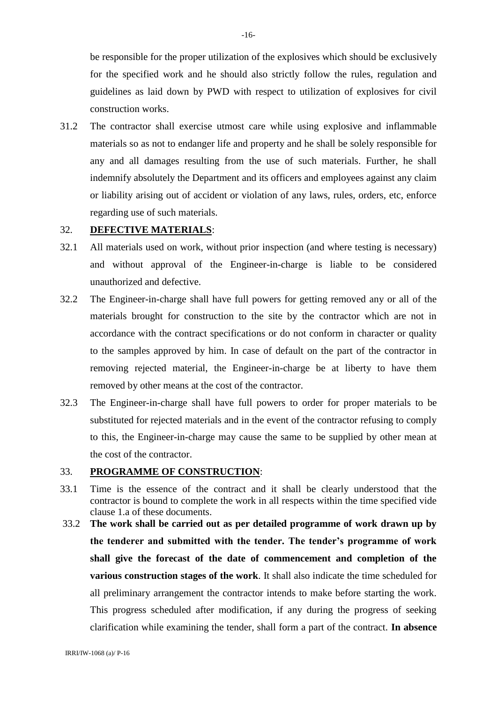be responsible for the proper utilization of the explosives which should be exclusively for the specified work and he should also strictly follow the rules, regulation and guidelines as laid down by PWD with respect to utilization of explosives for civil construction works.

31.2 The contractor shall exercise utmost care while using explosive and inflammable materials so as not to endanger life and property and he shall be solely responsible for any and all damages resulting from the use of such materials. Further, he shall indemnify absolutely the Department and its officers and employees against any claim or liability arising out of accident or violation of any laws, rules, orders, etc, enforce regarding use of such materials.

### 32. **DEFECTIVE MATERIALS**:

- 32.1 All materials used on work, without prior inspection (and where testing is necessary) and without approval of the Engineer-in-charge is liable to be considered unauthorized and defective.
- 32.2 The Engineer-in-charge shall have full powers for getting removed any or all of the materials brought for construction to the site by the contractor which are not in accordance with the contract specifications or do not conform in character or quality to the samples approved by him. In case of default on the part of the contractor in removing rejected material, the Engineer-in-charge be at liberty to have them removed by other means at the cost of the contractor.
- 32.3 The Engineer-in-charge shall have full powers to order for proper materials to be substituted for rejected materials and in the event of the contractor refusing to comply to this, the Engineer-in-charge may cause the same to be supplied by other mean at the cost of the contractor.

#### 33. **PROGRAMME OF CONSTRUCTION**:

- 33.1 Time is the essence of the contract and it shall be clearly understood that the contractor is bound to complete the work in all respects within the time specified vide clause 1.a of these documents.
- 33.2 **The work shall be carried out as per detailed programme of work drawn up by the tenderer and submitted with the tender. The tender's programme of work shall give the forecast of the date of commencement and completion of the various construction stages of the work**. It shall also indicate the time scheduled for all preliminary arrangement the contractor intends to make before starting the work. This progress scheduled after modification, if any during the progress of seeking clarification while examining the tender, shall form a part of the contract. **In absence**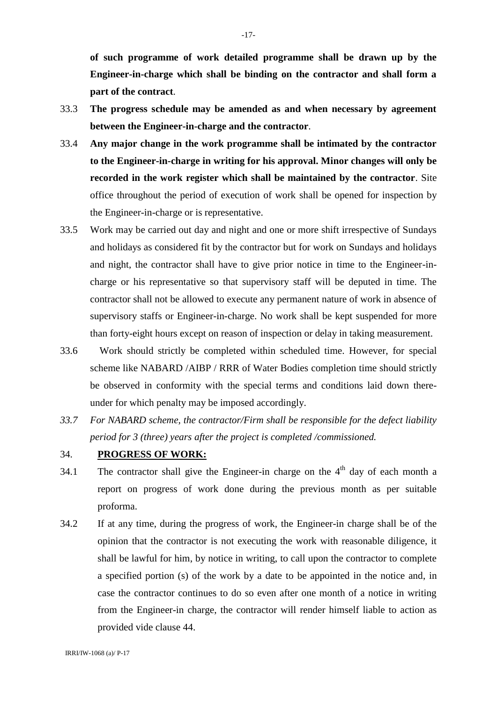**of such programme of work detailed programme shall be drawn up by the Engineer-in-charge which shall be binding on the contractor and shall form a part of the contract**.

- 33.3 **The progress schedule may be amended as and when necessary by agreement between the Engineer-in-charge and the contractor**.
- 33.4 **Any major change in the work programme shall be intimated by the contractor to the Engineer-in-charge in writing for his approval. Minor changes will only be recorded in the work register which shall be maintained by the contractor**. Site office throughout the period of execution of work shall be opened for inspection by the Engineer-in-charge or is representative.
- 33.5 Work may be carried out day and night and one or more shift irrespective of Sundays and holidays as considered fit by the contractor but for work on Sundays and holidays and night, the contractor shall have to give prior notice in time to the Engineer-incharge or his representative so that supervisory staff will be deputed in time. The contractor shall not be allowed to execute any permanent nature of work in absence of supervisory staffs or Engineer-in-charge. No work shall be kept suspended for more than forty-eight hours except on reason of inspection or delay in taking measurement.
- 33.6 Work should strictly be completed within scheduled time. However, for special scheme like NABARD /AIBP / RRR of Water Bodies completion time should strictly be observed in conformity with the special terms and conditions laid down thereunder for which penalty may be imposed accordingly.
- *33.7 For NABARD scheme, the contractor/Firm shall be responsible for the defect liability period for 3 (three) years after the project is completed /commissioned.*

## 34. **PROGRESS OF WORK:**

- 34.1 The contractor shall give the Engineer-in charge on the  $4<sup>th</sup>$  day of each month a report on progress of work done during the previous month as per suitable proforma.
- 34.2 If at any time, during the progress of work, the Engineer-in charge shall be of the opinion that the contractor is not executing the work with reasonable diligence, it shall be lawful for him, by notice in writing, to call upon the contractor to complete a specified portion (s) of the work by a date to be appointed in the notice and, in case the contractor continues to do so even after one month of a notice in writing from the Engineer-in charge, the contractor will render himself liable to action as provided vide clause 44.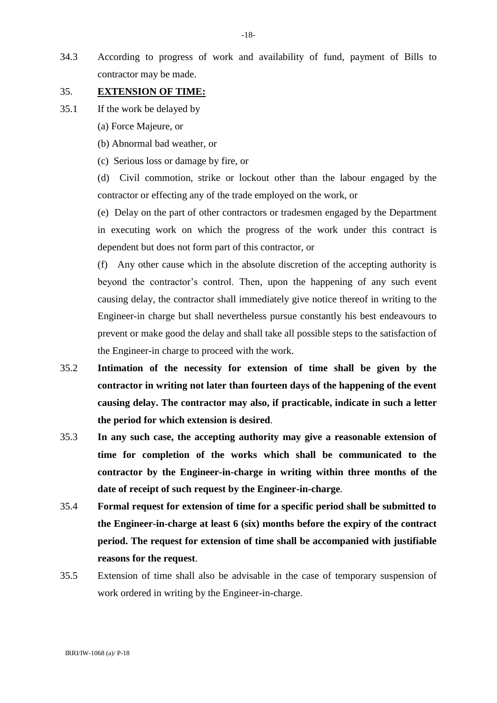34.3 According to progress of work and availability of fund, payment of Bills to contractor may be made.

### 35. **EXTENSION OF TIME:**

- 35.1 If the work be delayed by
	- (a) Force Majeure, or
	- (b) Abnormal bad weather, or
	- (c) Serious loss or damage by fire, or

(d) Civil commotion, strike or lockout other than the labour engaged by the contractor or effecting any of the trade employed on the work, or

(e) Delay on the part of other contractors or tradesmen engaged by the Department in executing work on which the progress of the work under this contract is dependent but does not form part of this contractor, or

(f) Any other cause which in the absolute discretion of the accepting authority is beyond the contractor's control. Then, upon the happening of any such event causing delay, the contractor shall immediately give notice thereof in writing to the Engineer-in charge but shall nevertheless pursue constantly his best endeavours to prevent or make good the delay and shall take all possible steps to the satisfaction of the Engineer-in charge to proceed with the work.

- 35.2 **Intimation of the necessity for extension of time shall be given by the contractor in writing not later than fourteen days of the happening of the event causing delay. The contractor may also, if practicable, indicate in such a letter the period for which extension is desired**.
- 35.3 **In any such case, the accepting authority may give a reasonable extension of time for completion of the works which shall be communicated to the contractor by the Engineer-in-charge in writing within three months of the date of receipt of such request by the Engineer-in-charge**.
- 35.4 **Formal request for extension of time for a specific period shall be submitted to the Engineer-in-charge at least 6 (six) months before the expiry of the contract period. The request for extension of time shall be accompanied with justifiable reasons for the request**.
- 35.5 Extension of time shall also be advisable in the case of temporary suspension of work ordered in writing by the Engineer-in-charge.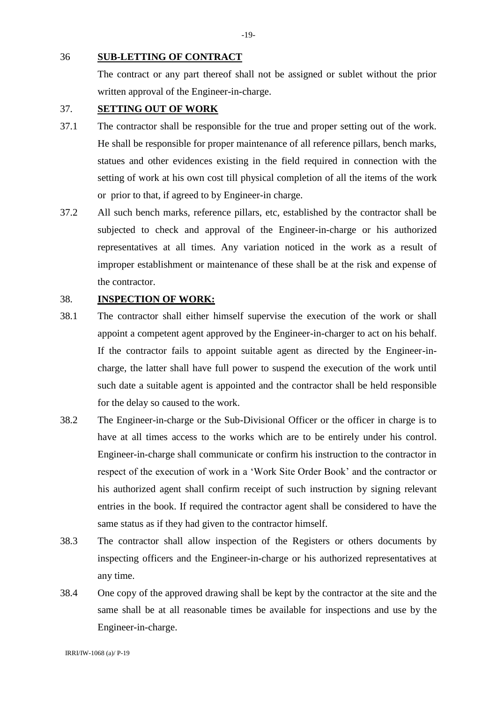36 **SUB-LETTING OF CONTRACT**

The contract or any part thereof shall not be assigned or sublet without the prior written approval of the Engineer-in-charge.

### 37. **SETTING OUT OF WORK**

- 37.1 The contractor shall be responsible for the true and proper setting out of the work. He shall be responsible for proper maintenance of all reference pillars, bench marks, statues and other evidences existing in the field required in connection with the setting of work at his own cost till physical completion of all the items of the work or prior to that, if agreed to by Engineer-in charge.
- 37.2 All such bench marks, reference pillars, etc, established by the contractor shall be subjected to check and approval of the Engineer-in-charge or his authorized representatives at all times. Any variation noticed in the work as a result of improper establishment or maintenance of these shall be at the risk and expense of the contractor.

### 38. **INSPECTION OF WORK:**

- 38.1 The contractor shall either himself supervise the execution of the work or shall appoint a competent agent approved by the Engineer-in-charger to act on his behalf. If the contractor fails to appoint suitable agent as directed by the Engineer-incharge, the latter shall have full power to suspend the execution of the work until such date a suitable agent is appointed and the contractor shall be held responsible for the delay so caused to the work.
- 38.2 The Engineer-in-charge or the Sub-Divisional Officer or the officer in charge is to have at all times access to the works which are to be entirely under his control. Engineer-in-charge shall communicate or confirm his instruction to the contractor in respect of the execution of work in a 'Work Site Order Book' and the contractor or his authorized agent shall confirm receipt of such instruction by signing relevant entries in the book. If required the contractor agent shall be considered to have the same status as if they had given to the contractor himself.
- 38.3 The contractor shall allow inspection of the Registers or others documents by inspecting officers and the Engineer-in-charge or his authorized representatives at any time.
- 38.4 One copy of the approved drawing shall be kept by the contractor at the site and the same shall be at all reasonable times be available for inspections and use by the Engineer-in-charge.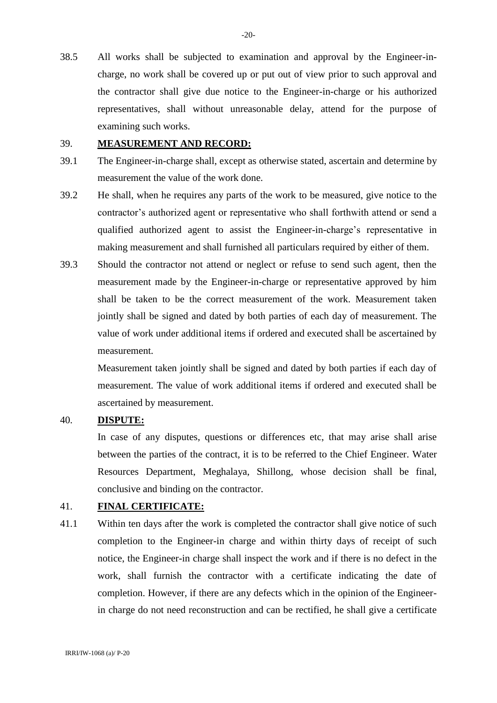38.5 All works shall be subjected to examination and approval by the Engineer-incharge, no work shall be covered up or put out of view prior to such approval and the contractor shall give due notice to the Engineer-in-charge or his authorized representatives, shall without unreasonable delay, attend for the purpose of examining such works.

#### 39. **MEASUREMENT AND RECORD:**

- 39.1 The Engineer-in-charge shall, except as otherwise stated, ascertain and determine by measurement the value of the work done.
- 39.2 He shall, when he requires any parts of the work to be measured, give notice to the contractor's authorized agent or representative who shall forthwith attend or send a qualified authorized agent to assist the Engineer-in-charge's representative in making measurement and shall furnished all particulars required by either of them.
- 39.3 Should the contractor not attend or neglect or refuse to send such agent, then the measurement made by the Engineer-in-charge or representative approved by him shall be taken to be the correct measurement of the work. Measurement taken jointly shall be signed and dated by both parties of each day of measurement. The value of work under additional items if ordered and executed shall be ascertained by measurement.

Measurement taken jointly shall be signed and dated by both parties if each day of measurement. The value of work additional items if ordered and executed shall be ascertained by measurement.

#### 40. **DISPUTE:**

 In case of any disputes, questions or differences etc, that may arise shall arise between the parties of the contract, it is to be referred to the Chief Engineer. Water Resources Department, Meghalaya, Shillong, whose decision shall be final, conclusive and binding on the contractor.

### 41. **FINAL CERTIFICATE:**

41.1 Within ten days after the work is completed the contractor shall give notice of such completion to the Engineer-in charge and within thirty days of receipt of such notice, the Engineer-in charge shall inspect the work and if there is no defect in the work, shall furnish the contractor with a certificate indicating the date of completion. However, if there are any defects which in the opinion of the Engineerin charge do not need reconstruction and can be rectified, he shall give a certificate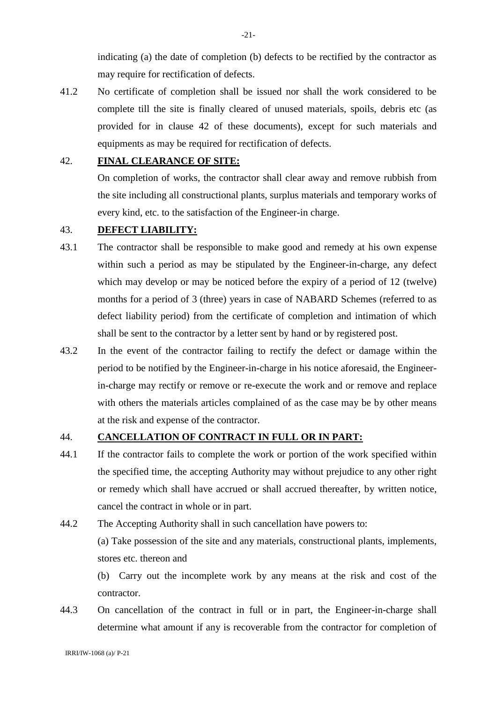indicating (a) the date of completion (b) defects to be rectified by the contractor as may require for rectification of defects.

41.2 No certificate of completion shall be issued nor shall the work considered to be complete till the site is finally cleared of unused materials, spoils, debris etc (as provided for in clause 42 of these documents), except for such materials and equipments as may be required for rectification of defects.

### 42. **FINAL CLEARANCE OF SITE:**

On completion of works, the contractor shall clear away and remove rubbish from the site including all constructional plants, surplus materials and temporary works of every kind, etc. to the satisfaction of the Engineer-in charge.

### 43. **DEFECT LIABILITY:**

- 43.1 The contractor shall be responsible to make good and remedy at his own expense within such a period as may be stipulated by the Engineer-in-charge, any defect which may develop or may be noticed before the expiry of a period of 12 (twelve) months for a period of 3 (three) years in case of NABARD Schemes (referred to as defect liability period) from the certificate of completion and intimation of which shall be sent to the contractor by a letter sent by hand or by registered post.
- 43.2 In the event of the contractor failing to rectify the defect or damage within the period to be notified by the Engineer-in-charge in his notice aforesaid, the Engineerin-charge may rectify or remove or re-execute the work and or remove and replace with others the materials articles complained of as the case may be by other means at the risk and expense of the contractor.

### 44. **CANCELLATION OF CONTRACT IN FULL OR IN PART:**

- 44.1 If the contractor fails to complete the work or portion of the work specified within the specified time, the accepting Authority may without prejudice to any other right or remedy which shall have accrued or shall accrued thereafter, by written notice, cancel the contract in whole or in part.
- 44.2 The Accepting Authority shall in such cancellation have powers to: (a) Take possession of the site and any materials, constructional plants, implements, stores etc. thereon and

(b) Carry out the incomplete work by any means at the risk and cost of the contractor.

44.3 On cancellation of the contract in full or in part, the Engineer-in-charge shall determine what amount if any is recoverable from the contractor for completion of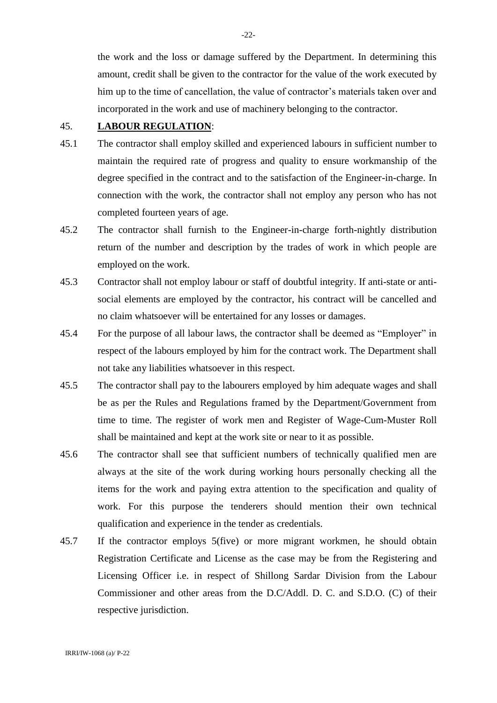the work and the loss or damage suffered by the Department. In determining this amount, credit shall be given to the contractor for the value of the work executed by him up to the time of cancellation, the value of contractor's materials taken over and incorporated in the work and use of machinery belonging to the contractor.

### 45. **LABOUR REGULATION**:

- 45.1 The contractor shall employ skilled and experienced labours in sufficient number to maintain the required rate of progress and quality to ensure workmanship of the degree specified in the contract and to the satisfaction of the Engineer-in-charge. In connection with the work, the contractor shall not employ any person who has not completed fourteen years of age.
- 45.2 The contractor shall furnish to the Engineer-in-charge forth-nightly distribution return of the number and description by the trades of work in which people are employed on the work.
- 45.3 Contractor shall not employ labour or staff of doubtful integrity. If anti-state or antisocial elements are employed by the contractor, his contract will be cancelled and no claim whatsoever will be entertained for any losses or damages.
- 45.4 For the purpose of all labour laws, the contractor shall be deemed as "Employer" in respect of the labours employed by him for the contract work. The Department shall not take any liabilities whatsoever in this respect.
- 45.5 The contractor shall pay to the labourers employed by him adequate wages and shall be as per the Rules and Regulations framed by the Department/Government from time to time. The register of work men and Register of Wage-Cum-Muster Roll shall be maintained and kept at the work site or near to it as possible.
- 45.6 The contractor shall see that sufficient numbers of technically qualified men are always at the site of the work during working hours personally checking all the items for the work and paying extra attention to the specification and quality of work. For this purpose the tenderers should mention their own technical qualification and experience in the tender as credentials.
- 45.7 If the contractor employs 5(five) or more migrant workmen, he should obtain Registration Certificate and License as the case may be from the Registering and Licensing Officer i.e. in respect of Shillong Sardar Division from the Labour Commissioner and other areas from the D.C/Addl. D. C. and S.D.O. (C) of their respective jurisdiction.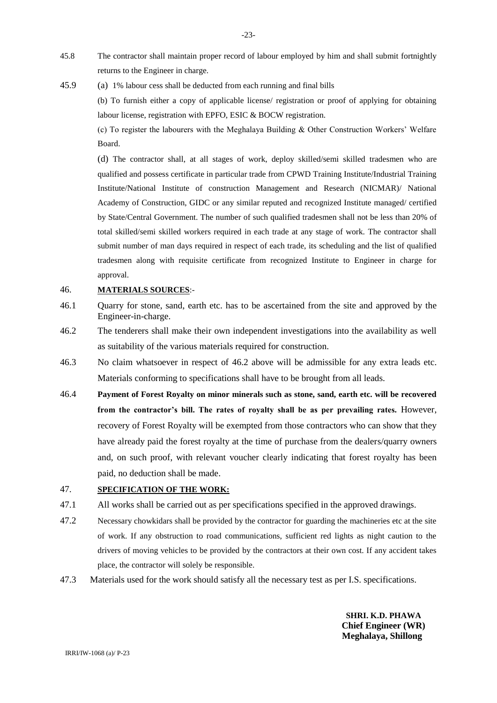- 45.8 The contractor shall maintain proper record of labour employed by him and shall submit fortnightly returns to the Engineer in charge.
- 45.9 (a) 1% labour cess shall be deducted from each running and final bills

(b) To furnish either a copy of applicable license/ registration or proof of applying for obtaining labour license, registration with EPFO, ESIC & BOCW registration.

(c) To register the labourers with the Meghalaya Building & Other Construction Workers' Welfare Board.

(d) The contractor shall, at all stages of work, deploy skilled/semi skilled tradesmen who are qualified and possess certificate in particular trade from CPWD Training Institute/Industrial Training Institute/National Institute of construction Management and Research (NICMAR)/ National Academy of Construction, GIDC or any similar reputed and recognized Institute managed/ certified by State/Central Government. The number of such qualified tradesmen shall not be less than 20% of total skilled/semi skilled workers required in each trade at any stage of work. The contractor shall submit number of man days required in respect of each trade, its scheduling and the list of qualified tradesmen along with requisite certificate from recognized Institute to Engineer in charge for approval.

#### 46. **MATERIALS SOURCES**:-

- 46.1 Quarry for stone, sand, earth etc. has to be ascertained from the site and approved by the Engineer-in-charge.
- 46.2 The tenderers shall make their own independent investigations into the availability as well as suitability of the various materials required for construction.
- 46.3 No claim whatsoever in respect of 46.2 above will be admissible for any extra leads etc. Materials conforming to specifications shall have to be brought from all leads.
- 46.4 **Payment of Forest Royalty on minor minerals such as stone, sand, earth etc. will be recovered from the contractor's bill. The rates of royalty shall be as per prevailing rates.** However, recovery of Forest Royalty will be exempted from those contractors who can show that they have already paid the forest royalty at the time of purchase from the dealers/quarry owners and, on such proof, with relevant voucher clearly indicating that forest royalty has been paid, no deduction shall be made.

### 47. **SPECIFICATION OF THE WORK:**

- 47.1 All works shall be carried out as per specifications specified in the approved drawings.
- 47.2 Necessary chowkidars shall be provided by the contractor for guarding the machineries etc at the site of work. If any obstruction to road communications, sufficient red lights as night caution to the drivers of moving vehicles to be provided by the contractors at their own cost. If any accident takes place, the contractor will solely be responsible.
- 47.3 Materials used for the work should satisfy all the necessary test as per I.S. specifications.

**SHRI. K.D. PHAWA Chief Engineer (WR) Meghalaya, Shillong**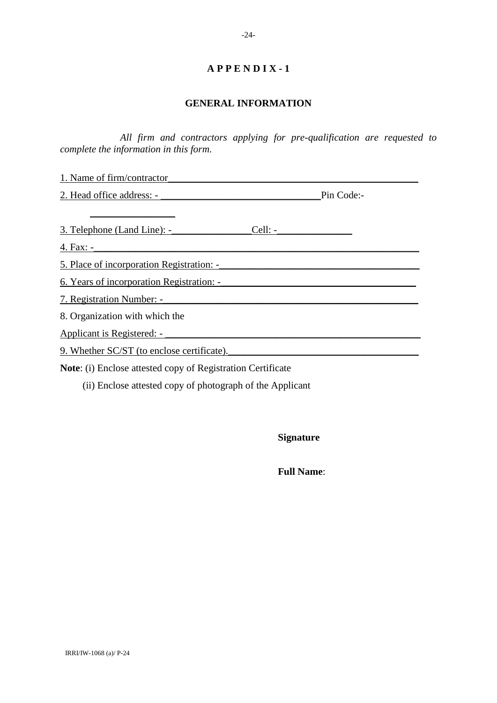#### **GENERAL INFORMATION**

*All firm and contractors applying for pre-qualification are requested to complete the information in this form.*

1. Name of firm/contractor 2. Head office address: - \_\_\_\_\_\_\_\_\_\_\_\_\_\_\_\_\_\_\_\_\_\_\_\_\_\_\_\_\_\_\_\_Pin Code:-

3. Telephone (Land Line): - Cell: -

4. Fax: -

5. Place of incorporation Registration: -\_\_\_\_\_\_\_\_\_\_\_\_\_\_\_\_\_\_\_\_\_\_\_\_\_\_\_\_\_\_\_\_\_\_\_\_\_\_\_\_

 $\mathcal{L}=\mathcal{L}^{\text{max}}$ 

6. Years of incorporation Registration: -

7. Registration Number: -

8. Organization with which the

Applicant is Registered: - \_\_\_\_\_\_\_\_\_\_\_\_\_\_\_\_\_\_\_\_\_\_\_\_\_\_\_\_\_\_\_\_\_\_\_\_\_\_\_\_\_\_\_\_\_\_\_\_\_\_\_

9. Whether SC/ST (to enclose certificate).

**Note**: (i) Enclose attested copy of Registration Certificate

(ii) Enclose attested copy of photograph of the Applicant

**Signature**

 **Full Name**: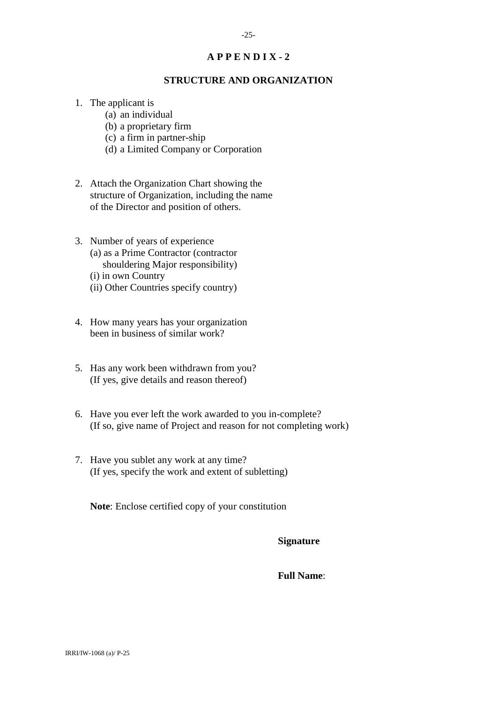### **STRUCTURE AND ORGANIZATION**

- 1. The applicant is
	- (a) an individual
	- (b) a proprietary firm
	- (c) a firm in partner-ship
	- (d) a Limited Company or Corporation
- 2. Attach the Organization Chart showing the structure of Organization, including the name of the Director and position of others.
- 3. Number of years of experience
	- (a) as a Prime Contractor (contractor shouldering Major responsibility)
	- (i) in own Country
	- (ii) Other Countries specify country)
- 4. How many years has your organization been in business of similar work?
- 5. Has any work been withdrawn from you? (If yes, give details and reason thereof)
- 6. Have you ever left the work awarded to you in-complete? (If so, give name of Project and reason for not completing work)
- 7. Have you sublet any work at any time? (If yes, specify the work and extent of subletting)

**Note**: Enclose certified copy of your constitution

#### **Signature**

### **Full Name**: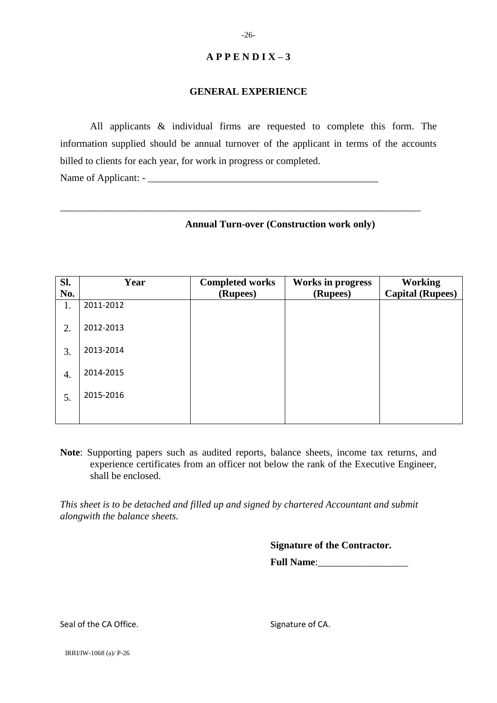#### **GENERAL EXPERIENCE**

All applicants & individual firms are requested to complete this form. The information supplied should be annual turnover of the applicant in terms of the accounts billed to clients for each year, for work in progress or completed.

\_\_\_\_\_\_\_\_\_\_\_\_\_\_\_\_\_\_\_\_\_\_\_\_\_\_\_\_\_\_\_\_\_\_\_\_\_\_\_\_\_\_\_\_\_\_\_\_\_\_\_\_\_\_\_\_\_\_\_\_\_\_\_\_\_\_\_\_\_\_\_\_

Name of Applicant: -

#### **Annual Turn-over (Construction work only)**

| Sl. | Year      | <b>Completed works</b> | <b>Works in progress</b> | <b>Working</b>          |
|-----|-----------|------------------------|--------------------------|-------------------------|
| No. |           | (Rupees)               | (Rupees)                 | <b>Capital (Rupees)</b> |
| 1.  | 2011-2012 |                        |                          |                         |
| 2.  | 2012-2013 |                        |                          |                         |
| 3.  | 2013-2014 |                        |                          |                         |
| 4.  | 2014-2015 |                        |                          |                         |
| 5.  | 2015-2016 |                        |                          |                         |
|     |           |                        |                          |                         |

**Note**: Supporting papers such as audited reports, balance sheets, income tax returns, and experience certificates from an officer not below the rank of the Executive Engineer, shall be enclosed.

*This sheet is to be detached and filled up and signed by chartered Accountant and submit alongwith the balance sheets.*

**Signature of the Contractor.**

Full Name:

Seal of the CA Office. Signature of CA.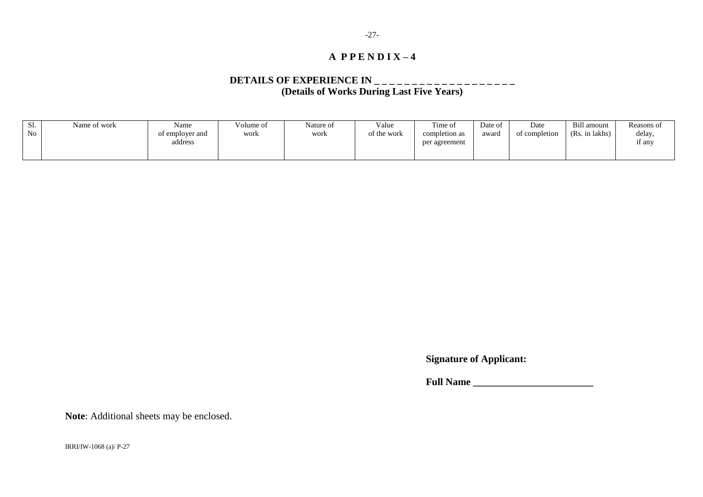### **DETAILS OF EXPERIENCE IN \_ \_ \_ \_ \_ \_ \_ \_ \_ \_ \_ \_ \_ \_ \_ \_ \_ \_ \_ (Details of Works During Last Five Years)**

| Sl.            | Name of work | Name            | Volume of | Nature of | Value       | Time of       | Date of | Date          | Bill amount      | Reasons of       |
|----------------|--------------|-----------------|-----------|-----------|-------------|---------------|---------|---------------|------------------|------------------|
| N <sub>0</sub> |              | of employer and | work      | work      | of the work | completion as | award   | of completion | (Rs)<br>in lakhs | delay,           |
|                |              | address         |           |           |             | per agreement |         |               |                  | $\sim$<br>11 any |
|                |              |                 |           |           |             |               |         |               |                  |                  |

**Signature of Applicant:**

**Full Name \_\_\_\_\_\_\_\_\_\_\_\_\_\_\_\_\_\_\_\_\_\_\_\_**

**Note**: Additional sheets may be enclosed.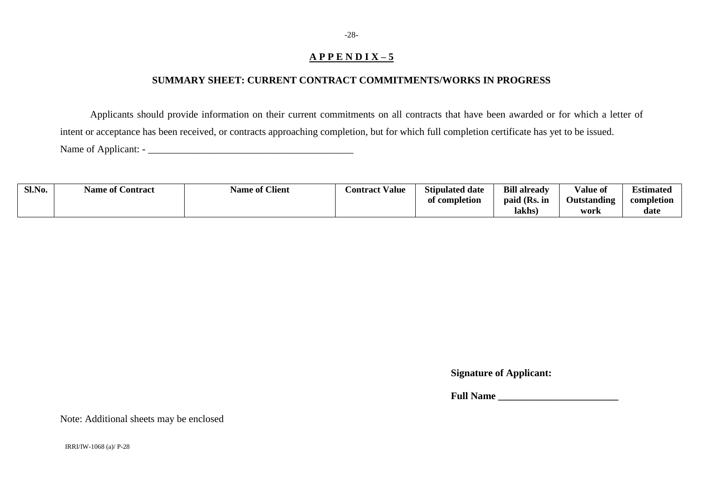## **SUMMARY SHEET: CURRENT CONTRACT COMMITMENTS/WORKS IN PROGRESS**

Applicants should provide information on their current commitments on all contracts that have been awarded or for which a letter of intent or acceptance has been received, or contracts approaching completion, but for which full completion certificate has yet to be issued. Name of Applicant: - \_\_\_\_\_\_\_\_\_\_\_\_\_\_\_\_\_\_\_\_\_\_\_\_\_\_\_\_\_\_\_\_\_\_\_\_\_\_\_\_\_

| Sl.No. | $\sim$<br><b>Name of Contract</b> | <sup>e</sup> Client<br>Name of t | <b>Contract Value</b> | <b>Stipulated date</b>  | <b>Bill already</b> | <b>TT 1</b><br>Value of | $\blacksquare$<br>$\cdot$ .<br>Estimated |
|--------|-----------------------------------|----------------------------------|-----------------------|-------------------------|---------------------|-------------------------|------------------------------------------|
|        |                                   |                                  |                       | <b>completion</b><br>ОI | paid (Rs. in        | Outstanding             | completion                               |
|        |                                   |                                  |                       |                         | lakhs               | work                    | date                                     |

**Signature of Applicant:**

**Full Name \_\_\_\_\_\_\_\_\_\_\_\_\_\_\_\_\_\_\_\_\_\_\_\_**

Note: Additional sheets may be enclosed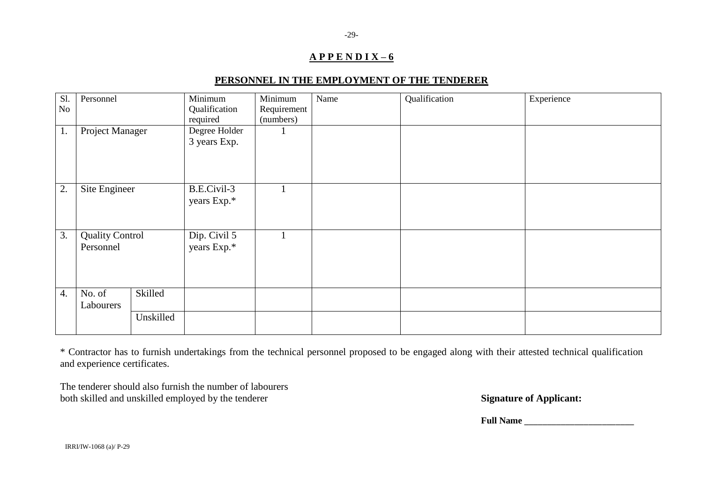## **PERSONNEL IN THE EMPLOYMENT OF THE TENDERER**

| S1.<br>No        | Personnel                           |           | Minimum<br>Qualification<br>required | Minimum<br>Requirement<br>(numbers) | Name | Qualification | Experience |
|------------------|-------------------------------------|-----------|--------------------------------------|-------------------------------------|------|---------------|------------|
| 1.               | Project Manager                     |           | Degree Holder<br>3 years Exp.        |                                     |      |               |            |
| 2.               | Site Engineer                       |           | B.E.Civil-3<br>years Exp.*           |                                     |      |               |            |
| 3.               | <b>Quality Control</b><br>Personnel |           | Dip. Civil 5<br>years Exp.*          |                                     |      |               |            |
| $\overline{4}$ . | No. of<br>Labourers                 | Skilled   |                                      |                                     |      |               |            |
|                  |                                     | Unskilled |                                      |                                     |      |               |            |

\* Contractor has to furnish undertakings from the technical personnel proposed to be engaged along with their attested technical qualification and experience certificates.

The tenderer should also furnish the number of labourers both skilled and unskilled employed by the tenderer **Signature of Applicant:** 

Full Name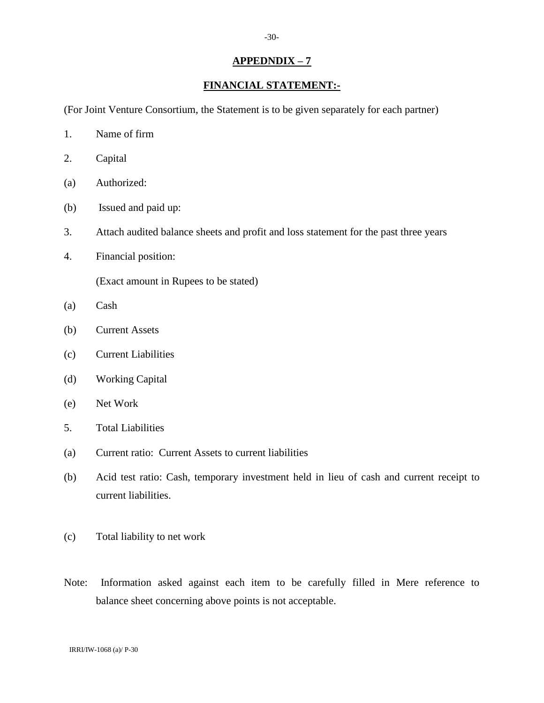## **APPEDNDIX – 7**

### **FINANCIAL STATEMENT:-**

(For Joint Venture Consortium, the Statement is to be given separately for each partner)

- 1. Name of firm
- 2. Capital
- (a) Authorized:
- (b) Issued and paid up:
- 3. Attach audited balance sheets and profit and loss statement for the past three years
- 4. Financial position:

(Exact amount in Rupees to be stated)

- (a) Cash
- (b) Current Assets
- (c) Current Liabilities
- (d) Working Capital
- (e) Net Work
- 5. Total Liabilities
- (a) Current ratio: Current Assets to current liabilities
- (b) Acid test ratio: Cash, temporary investment held in lieu of cash and current receipt to current liabilities.
- (c) Total liability to net work
- Note: Information asked against each item to be carefully filled in Mere reference to balance sheet concerning above points is not acceptable.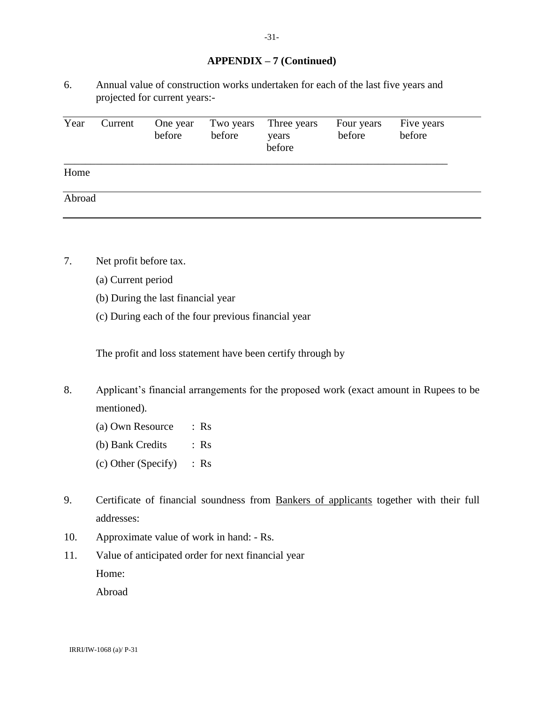#### **APPENDIX – 7 (Continued)**

6. Annual value of construction works undertaken for each of the last five years and projected for current years:-

| Year   | Current | One year<br>before | Two years<br>before | Three years<br>years<br>before | Four years<br>before | Five years<br>before |  |
|--------|---------|--------------------|---------------------|--------------------------------|----------------------|----------------------|--|
| Home   |         |                    |                     |                                |                      |                      |  |
| Abroad |         |                    |                     |                                |                      |                      |  |

- 7. Net profit before tax.
	- (a) Current period
	- (b) During the last financial year
	- (c) During each of the four previous financial year

The profit and loss statement have been certify through by

- 8. Applicant's financial arrangements for the proposed work (exact amount in Rupees to be mentioned).
	- (a) Own Resource : Rs (b) Bank Credits : Rs (c) Other (Specify) : Rs
- 9. Certificate of financial soundness from Bankers of applicants together with their full addresses:
- 10. Approximate value of work in hand: Rs.
- 11. Value of anticipated order for next financial year Home:

Abroad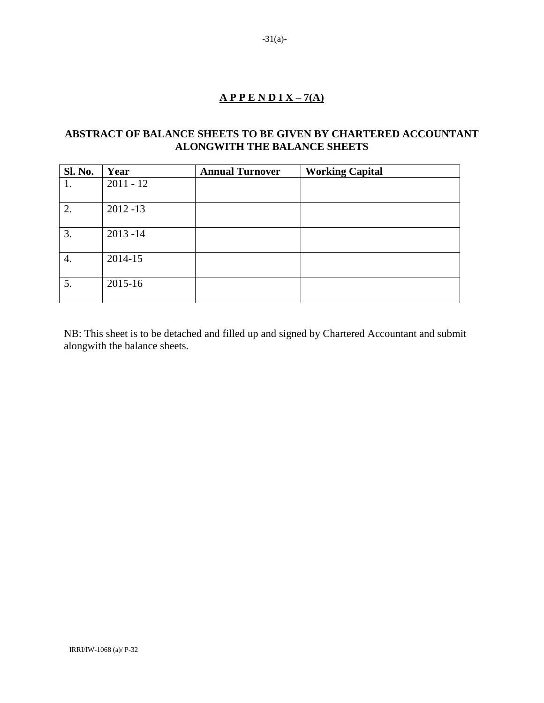## **A P P E N D I X – 7(A)**

## **ABSTRACT OF BALANCE SHEETS TO BE GIVEN BY CHARTERED ACCOUNTANT ALONGWITH THE BALANCE SHEETS**

| <b>Sl. No.</b> | Year        | <b>Annual Turnover</b> | <b>Working Capital</b> |
|----------------|-------------|------------------------|------------------------|
| 1.             | $2011 - 12$ |                        |                        |
|                |             |                        |                        |
| 2.             | $2012 - 13$ |                        |                        |
| 3.             | $2013 - 14$ |                        |                        |
| 4.             | 2014-15     |                        |                        |
| 5.             | 2015-16     |                        |                        |

NB: This sheet is to be detached and filled up and signed by Chartered Accountant and submit alongwith the balance sheets.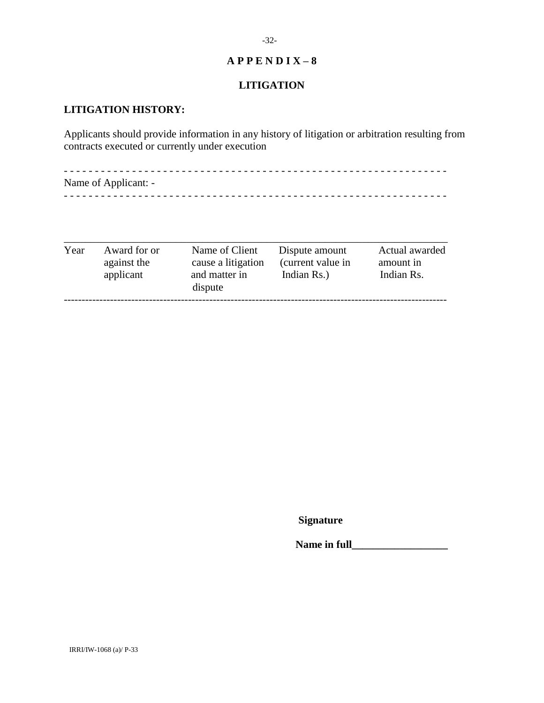## **LITIGATION**

## **LITIGATION HISTORY:**

Applicants should provide information in any history of litigation or arbitration resulting from contracts executed or currently under execution

- - - - - - - - - - - - - - - - - - - - - - - - - - - - - - - - - - - - - - - - - - - - - - - - - - - - - - - - - - - - - - Name of Applicant: - - - - - - - - - - - - - - - - - - - - - - - - - - - - - - - - - - - - - - - - - - - - - - - - - - - - - - - - - - - - - - -

| Year | Award for or<br>against the<br>applicant | Name of Client<br>cause a litigation<br>and matter in<br>dispute | Dispute amount<br>(current value in<br>Indian Rs.) | Actual awarded<br>amount in<br>Indian Rs. |
|------|------------------------------------------|------------------------------------------------------------------|----------------------------------------------------|-------------------------------------------|
|------|------------------------------------------|------------------------------------------------------------------|----------------------------------------------------|-------------------------------------------|

**Signature**

**Name in full**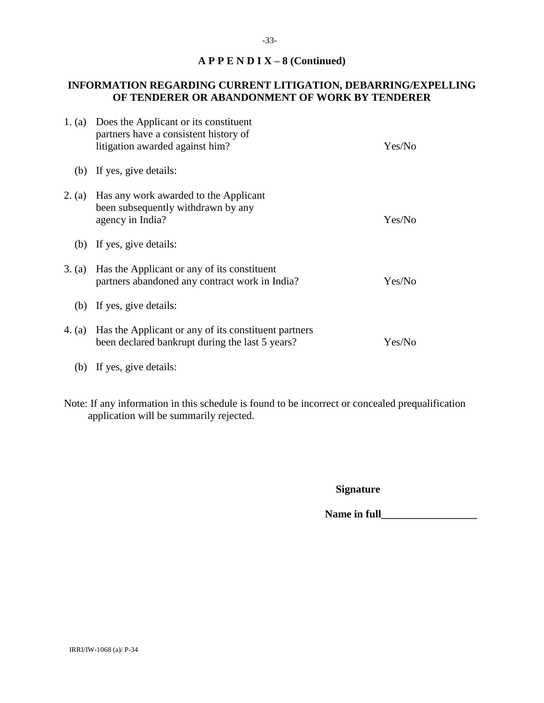## **A P P E N D I X – 8 (Continued)**

## **INFORMATION REGARDING CURRENT LITIGATION, DEBARRING/EXPELLING OF TENDERER OR ABANDONMENT OF WORK BY TENDERER**

| 1. (a)   | Does the Applicant or its constituent<br>partners have a consistent history of<br>litigation awarded against him? | Yes/No |
|----------|-------------------------------------------------------------------------------------------------------------------|--------|
| (b)      | If yes, give details:                                                                                             |        |
| 2. (a)   | Has any work awarded to the Applicant<br>been subsequently withdrawn by any<br>agency in India?                   | Yes/No |
| (b)      | If yes, give details:                                                                                             |        |
| 3. (a)   | Has the Applicant or any of its constituent<br>partners abandoned any contract work in India?                     | Yes/No |
| (b)      | If yes, give details:                                                                                             |        |
| 4. $(a)$ | Has the Applicant or any of its constituent partners<br>been declared bankrupt during the last 5 years?           | Yes/No |
| (b)      | If yes, give details:                                                                                             |        |

Note: If any information in this schedule is found to be incorrect or concealed prequalification application will be summarily rejected.

**Signature**

Name in full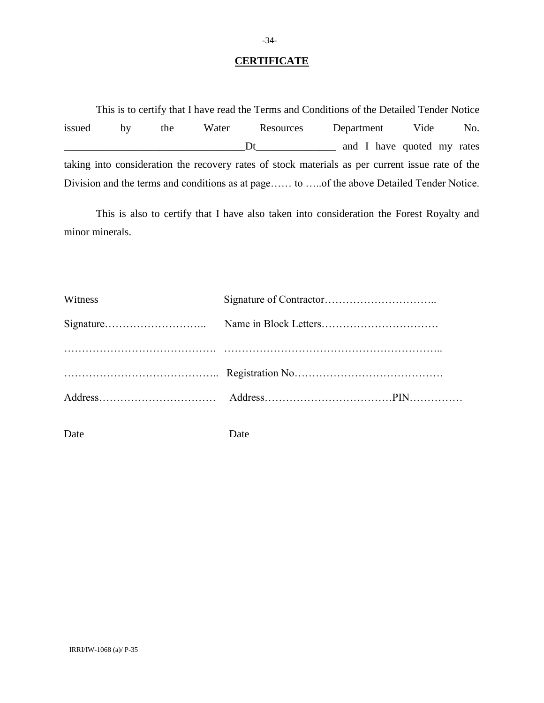### **CERTIFICATE**

This is to certify that I have read the Terms and Conditions of the Detailed Tender Notice issued by the Water Resources Department Vide No. \_\_\_\_\_\_\_\_\_\_\_\_\_\_\_\_\_\_\_\_\_\_\_\_\_\_\_\_\_\_\_\_\_\_Dt\_\_\_\_\_\_\_\_\_\_\_\_\_\_\_ and I have quoted my rates taking into consideration the recovery rates of stock materials as per current issue rate of the Division and the terms and conditions as at page…… to …..of the above Detailed Tender Notice.

This is also to certify that I have also taken into consideration the Forest Royalty and minor minerals.

| Witness |  |
|---------|--|
|         |  |
|         |  |
|         |  |
|         |  |
|         |  |

Date Date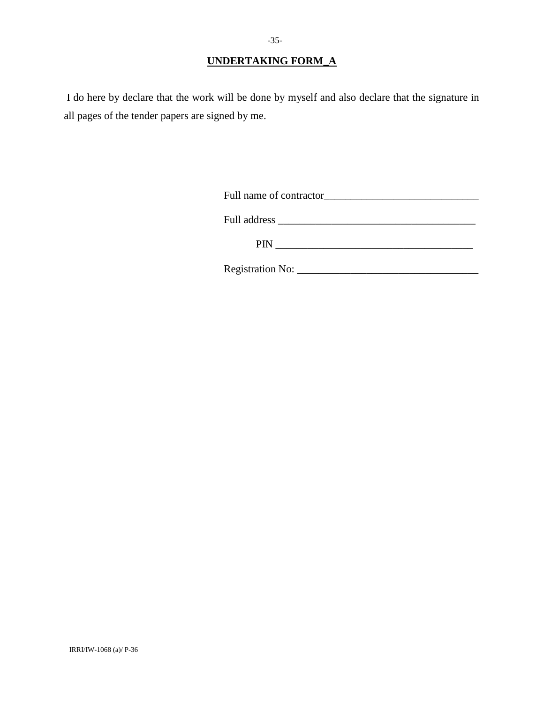I do here by declare that the work will be done by myself and also declare that the signature in all pages of the tender papers are signed by me.

| Full name of contractor |
|-------------------------|
|                         |
| Full address            |

PIN \_\_\_\_\_\_\_\_\_\_\_\_\_\_\_\_\_\_\_\_\_\_\_\_\_\_\_\_\_\_\_\_\_\_\_\_\_

Registration No: \_\_\_\_\_\_\_\_\_\_\_\_\_\_\_\_\_\_\_\_\_\_\_\_\_\_\_\_\_\_\_\_\_\_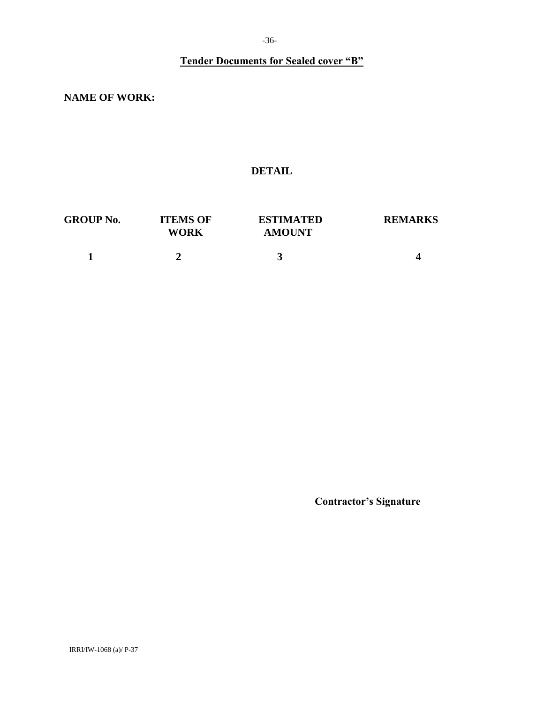# **Tender Documents for Sealed cover "B"**

**NAME OF WORK:**

## **DETAIL**

| <b>GROUP No.</b> | <b>ITEMS OF</b><br><b>WORK</b> | <b>ESTIMATED</b><br><b>AMOUNT</b> | <b>REMARKS</b> |
|------------------|--------------------------------|-----------------------------------|----------------|
|                  |                                |                                   |                |

**Contractor's Signature**